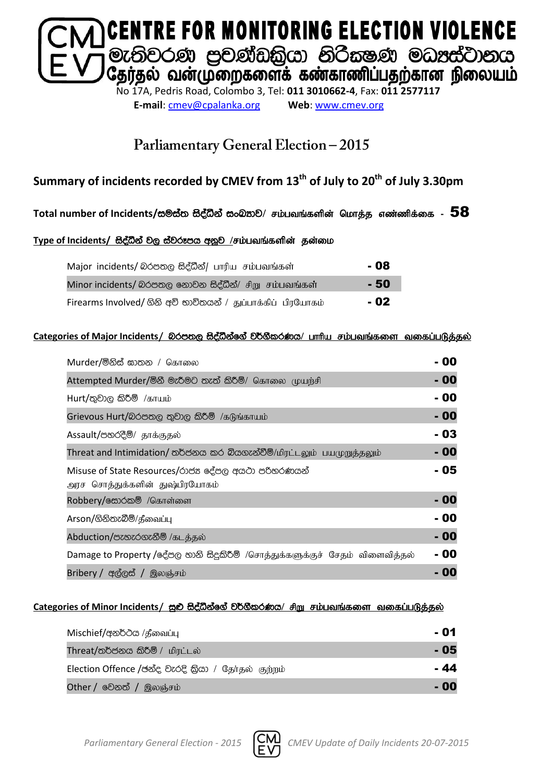

**E-mail**: [cmev@cpalanka.org](mailto:cmev@cpalanka.org) **Web**: [www.cmev.org](http://www.cmev.org/)

### Parliamentary General Election - 2015

### **Summary of incidents recorded by CMEV from 13th of July to 20th of July 3.30pm**

#### $T$ otal number of Incidents/සම්ස්ත සිද්ධීන් සංඛ**නව/ சம்பவங்களின் மொத்த எண்ணிக்கை -** 58

#### Type of Incidents/ සිද්ධීන් වල ස්වරූපය අනූව /சம்பவங்களின் தன்மை

| Major incidents/ லெக்கை கீச்லீச்/ பாரிய சம்பவங்கள்           | - 08  |
|--------------------------------------------------------------|-------|
| Minor incidents/ බරපතල නොවන සිද්ධීන්/ சிறு சம்பவங்கள்        | - 50  |
| Firearms Involved/ ගිනි අවි භාවිතයන් / துப்பாக்கிப் பிரயோகம் | $-02$ |

#### **Categories of Major Incidents/** nrm;, iso aëkaf. a j¾. SlrKh**/** ghhpa rk;gtq;fis tifg;gLj;jy ;

| Murder/මිනිස් ඝාතන / கொலை                                                            | - 00  |
|--------------------------------------------------------------------------------------|-------|
| Attempted Murder/මිනී මැරීමට තැත් කිරීම්/ கொலை முயற்சி                               | $-00$ |
| Hurt/තුවාල කිරීම් /காயம்                                                             | - 00  |
| Grievous Hurt/බරපතල තුවාල කිරීම් /கடுங்காயம்                                         | $-00$ |
| Assault/පහරදීම්/ தாக்குதல்                                                           | - 03  |
| Threat and Intimidation/ තර්ජනය කර බියගැන්වීම්/மிரட்டலும் பயமுறுத்தலும்              | $-00$ |
| Misuse of State Resources/රාජන දේපල අයථා පරිතරණයන්<br>அரச சொத்துக்களின் துஷ்பிரயோகம் | - 05  |
| Robbery/க்கேல் /கொள்ளை                                                               | - 00  |
| Arson/ගිනිතැබීම්/தீவைப்பு                                                            | - 00  |
| Abduction/පැහැරගැනීම් /கடத்தல்                                                       | $-00$ |
| Damage to Property /දේපල හානි සිදුකිරීම් /சொத்துக்களுக்குச் சேதம் விளைவித்தல்        | - 00  |
| Bribery / අල්ලස් / இலஞ்சம்                                                           | 010   |

#### Categories of Minor Incidents / සුළු සිද්ධීන්ගේ වර්ගීකරණය/ சிறு சம்பவங்களை வகைப்படுக்கல்

| Mischief/අනර්ථය /தீவைப்பு                           | - 01 |
|-----------------------------------------------------|------|
| Threat/තර්ජනය කිරීම් / மிரட்டல்                     | - 05 |
| Election Offence /ජන්ද වැරදි කියා / தேர்தல் குற்றம் | - 44 |
| Other / වෙනත් / இலஞ்சம்                             | - 00 |

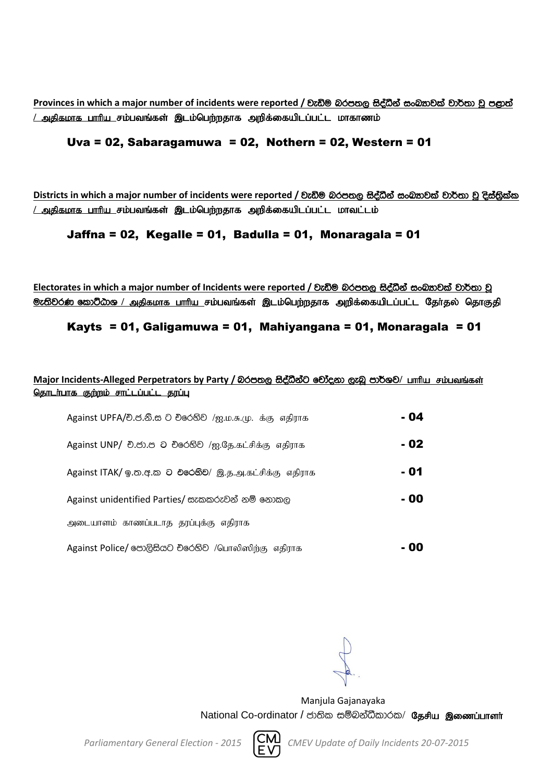**Provinces** in which a major number of incidents were reported / වැඩිම බරපතල සිද්ධීන් සංඛතාවක් වාර්තා වූ පළාත් <u>/ அதிகமாக பாரிய சம்பவங்கள் இடம்பெற்றதாக அறிக்கையிடப்பட்ட மாகாணம்</u>

#### Uva = 02, Sabaragamuwa = 02, Nothern = 02, Western = 01

**Districts** in which a major number of incidents were reported / වැඩිම බරපතල සිද්ධීන් සංඛතවක් වාර්තා වූ දිස්තිුක්ක <u>/ அதிகமாக பாரிய சம்பவங்கள் இடம்பெற்றதாக அறிக்கையிடப்பட்ட மாவட்டம்</u>

#### Jaffna = 02, Kegalle = 01, Badulla = 01, Monaragala = 01

Electorates in which a major number of Incidents were reported / වැඩිම බරපතල සිද්ධීන් සංඛතාවක් වාර්තා වූ <mark>ூ: ல</mark>ிவ் கூறிமை / அதிகமாக பாரிய சம்பவங்கள் இடம்பெற்றதாக அறிக்கையிடப்பட்ட தேர்தல் தொகுதி

#### Kayts = 01, Galigamuwa = 01, Mahiyangana = 01, Monaragala = 01

#### Major Incidents-Alleged Perpetrators by Party / බරපතල සිද්ධීන්ට චෝදනා ලැබූ පාර්ශව/ பாரிய சம்பவங்கள் <u>தொடர்பாக குற்றம் சாட்டப்பட்ட தரப்பு</u>

| Against UPFA/චි.ජ.නි.ස ට චිරෙහිව /ஐ.ம.சு.மு. க்கு எதிராக | - 04 |
|----------------------------------------------------------|------|
| Against UNP/ චි.ජා.ප ට චිරෙහිව /ஐ.தே.கட்சிக்கு எதிராக    | - 02 |
| Against ITAK/ ஓ.ஐஐ.ஐ O එරෙහිව/ இ.த.அ.கட்சிக்கு எதிராக    | - 01 |
| Against unidentified Parties/ සැකකරුවන් නම් නොකල         | - 00 |
| அடையாளம் காணப்படாத தரப்புக்கு எதிராக                     |      |
| Against Police/ පොලිසියට චිරෙහිව /பொலிஸிற்கு எதிராக      | - 00 |

Manjula Gajanayaka

National Co-ordinator / ජාතික සම්බන්ධීකාරක/ தேசிய இணைப்பாளர்



*Parliamentary General Election - 2015 CMEV Update of Daily Incidents 20-07-2015*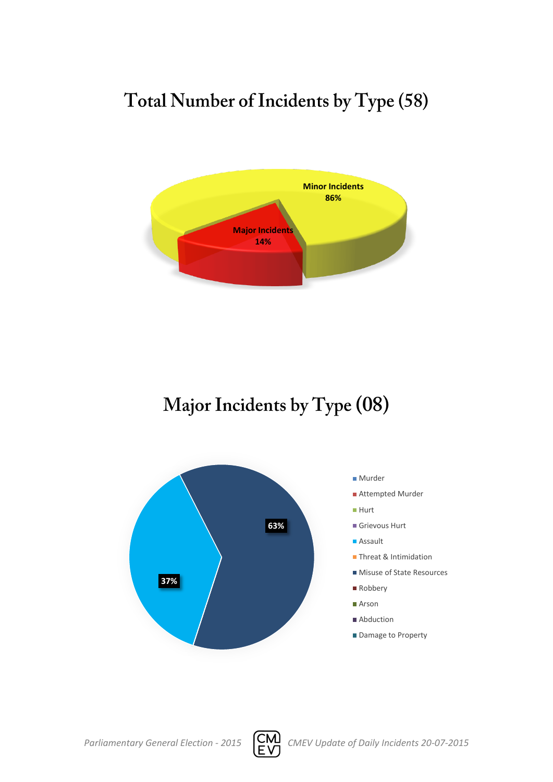# Total Number of Incidents by Type (58)



## Major Incidents by Type (08)